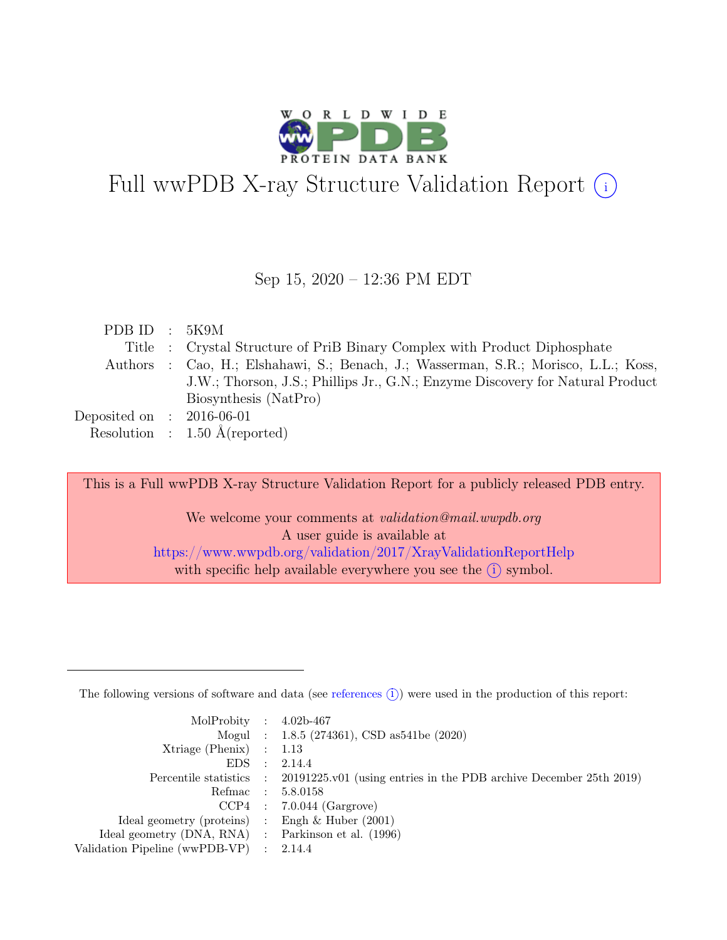

# Full wwPDB X-ray Structure Validation Report  $\bigcirc$

Sep 15, 2020 – 12:36 PM EDT

| PDB ID : $5K9M$             |                                                                                     |
|-----------------------------|-------------------------------------------------------------------------------------|
|                             | Title : Crystal Structure of PriB Binary Complex with Product Diphosphate           |
|                             | Authors : Cao, H.; Elshahawi, S.; Benach, J.; Wasserman, S.R.; Morisco, L.L.; Koss, |
|                             | J.W.; Thorson, J.S.; Phillips Jr., G.N.; Enzyme Discovery for Natural Product       |
|                             | Biosynthesis (NatPro)                                                               |
| Deposited on : $2016-06-01$ |                                                                                     |
|                             | Resolution : $1.50 \text{ Å}$ (reported)                                            |
|                             |                                                                                     |

This is a Full wwPDB X-ray Structure Validation Report for a publicly released PDB entry.

We welcome your comments at validation@mail.wwpdb.org A user guide is available at <https://www.wwpdb.org/validation/2017/XrayValidationReportHelp> with specific help available everywhere you see the  $(i)$  symbol.

The following versions of software and data (see [references](https://www.wwpdb.org/validation/2017/XrayValidationReportHelp#references)  $(i)$ ) were used in the production of this report:

| MolProbity : $4.02b-467$                            |                                                                                            |
|-----------------------------------------------------|--------------------------------------------------------------------------------------------|
|                                                     | Mogul : 1.8.5 (274361), CSD as 541be (2020)                                                |
| $Xtriangle (Phenix)$ : 1.13                         |                                                                                            |
| $EDS$ :                                             | 2.14.4                                                                                     |
|                                                     | Percentile statistics : 20191225.v01 (using entries in the PDB archive December 25th 2019) |
|                                                     | Refmac : 5.8.0158                                                                          |
|                                                     | $CCP4$ : 7.0.044 (Gargrove)                                                                |
| Ideal geometry (proteins) : Engh $\&$ Huber (2001)  |                                                                                            |
| Ideal geometry (DNA, RNA) : Parkinson et al. (1996) |                                                                                            |
| Validation Pipeline (wwPDB-VP) : 2.14.4             |                                                                                            |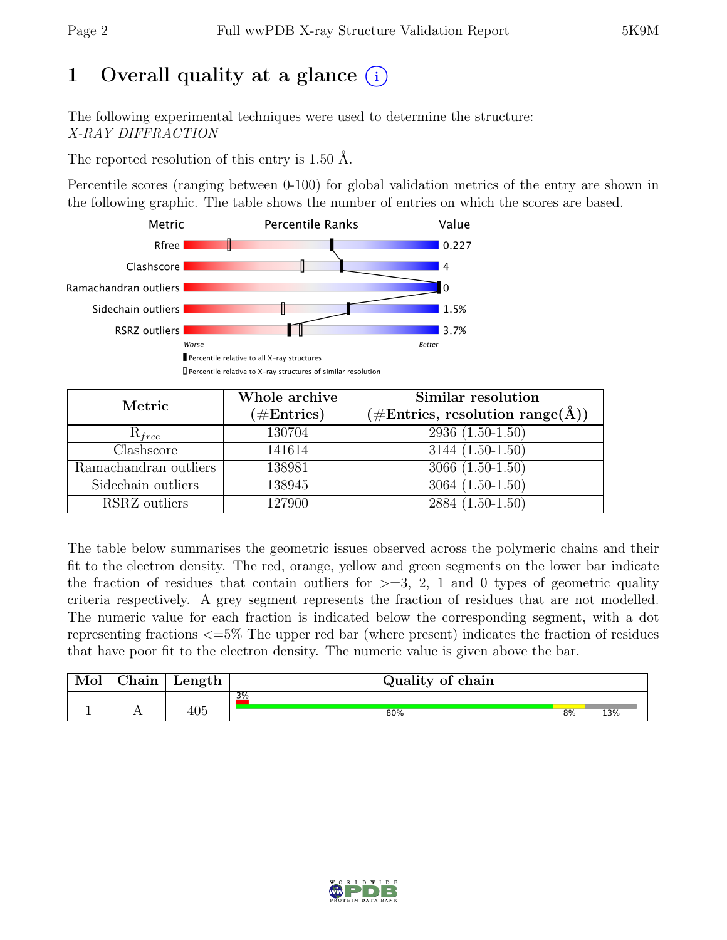## 1 Overall quality at a glance  $(i)$

The following experimental techniques were used to determine the structure: X-RAY DIFFRACTION

The reported resolution of this entry is 1.50 Å.

Percentile scores (ranging between 0-100) for global validation metrics of the entry are shown in the following graphic. The table shows the number of entries on which the scores are based.



| Metric                | Whole archive<br>$(\#Entries)$ | Similar resolution<br>$(\#\text{Entries}, \, \text{resolution range}(\text{\AA}))$ |
|-----------------------|--------------------------------|------------------------------------------------------------------------------------|
| $R_{free}$            | 130704                         | $2936(1.50-1.50)$                                                                  |
| Clashscore            | 141614                         | $3144(1.50-1.50)$                                                                  |
| Ramachandran outliers | 138981                         | $3066(1.50-1.50)$                                                                  |
| Sidechain outliers    | 138945                         | $3064(1.50-1.50)$                                                                  |
| RSRZ outliers         | 127900                         | 2884 (1.50-1.50)                                                                   |

The table below summarises the geometric issues observed across the polymeric chains and their fit to the electron density. The red, orange, yellow and green segments on the lower bar indicate the fraction of residues that contain outliers for  $\geq$ =3, 2, 1 and 0 types of geometric quality criteria respectively. A grey segment represents the fraction of residues that are not modelled. The numeric value for each fraction is indicated below the corresponding segment, with a dot representing fractions <=5% The upper red bar (where present) indicates the fraction of residues that have poor fit to the electron density. The numeric value is given above the bar.

| Mol | $\sim$ 1<br>hain! | Length            | Quality of chain |    |     |  |  |  |  |
|-----|-------------------|-------------------|------------------|----|-----|--|--|--|--|
|     |                   |                   | 3%               |    |     |  |  |  |  |
| ∸   | . .               | $A \cap F$<br>4U5 | 80%              | 8% | 13% |  |  |  |  |

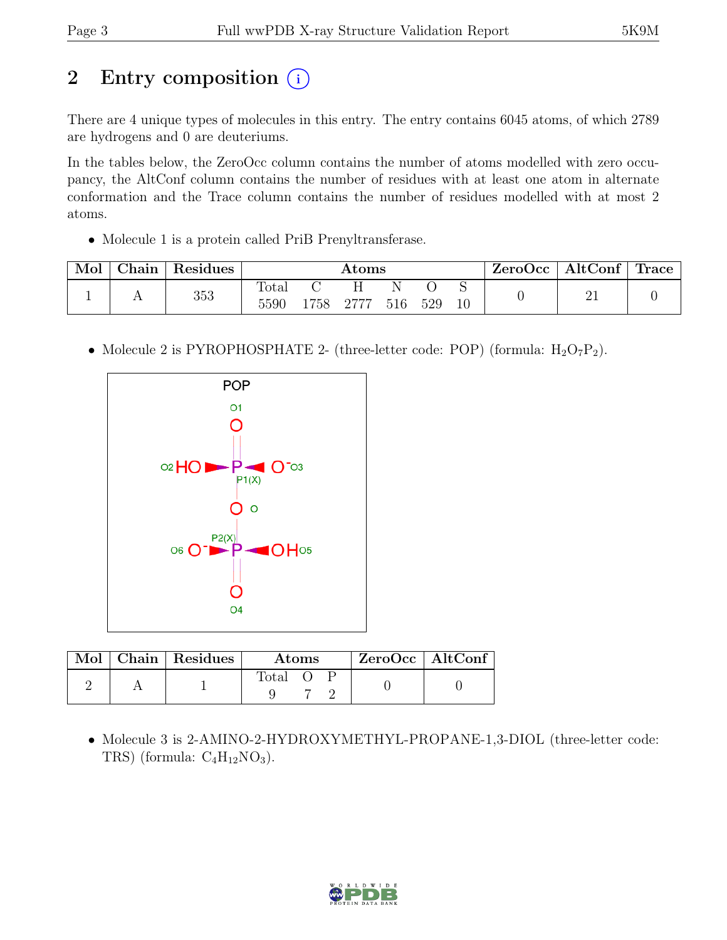## 2 Entry composition  $(i)$

There are 4 unique types of molecules in this entry. The entry contains 6045 atoms, of which 2789 are hydrogens and 0 are deuteriums.

In the tables below, the ZeroOcc column contains the number of atoms modelled with zero occupancy, the AltConf column contains the number of residues with at least one atom in alternate conformation and the Trace column contains the number of residues modelled with at most 2 atoms.

• Molecule 1 is a protein called PriB Prenyltransferase.

| Mol | Chain | Residues | $\rm{Atoms}$  |  |           |     |     | $ZeroOcc \   \ AltConf \   \ Trace \  $ |  |  |
|-----|-------|----------|---------------|--|-----------|-----|-----|-----------------------------------------|--|--|
|     |       | 353      | Total<br>5590 |  | 1758 2777 | 516 | 529 |                                         |  |  |

• Molecule 2 is PYROPHOSPHATE 2- (three-letter code: POP) (formula:  $H_2O_7P_2$ ).



|  | Mol   Chain   Residues | Atoms   |  |  | ZeroOcc   AltConf |  |
|--|------------------------|---------|--|--|-------------------|--|
|  |                        | Total O |  |  |                   |  |

• Molecule 3 is 2-AMINO-2-HYDROXYMETHYL-PROPANE-1,3-DIOL (three-letter code: TRS) (formula:  $C_4H_{12}NO_3$ ).

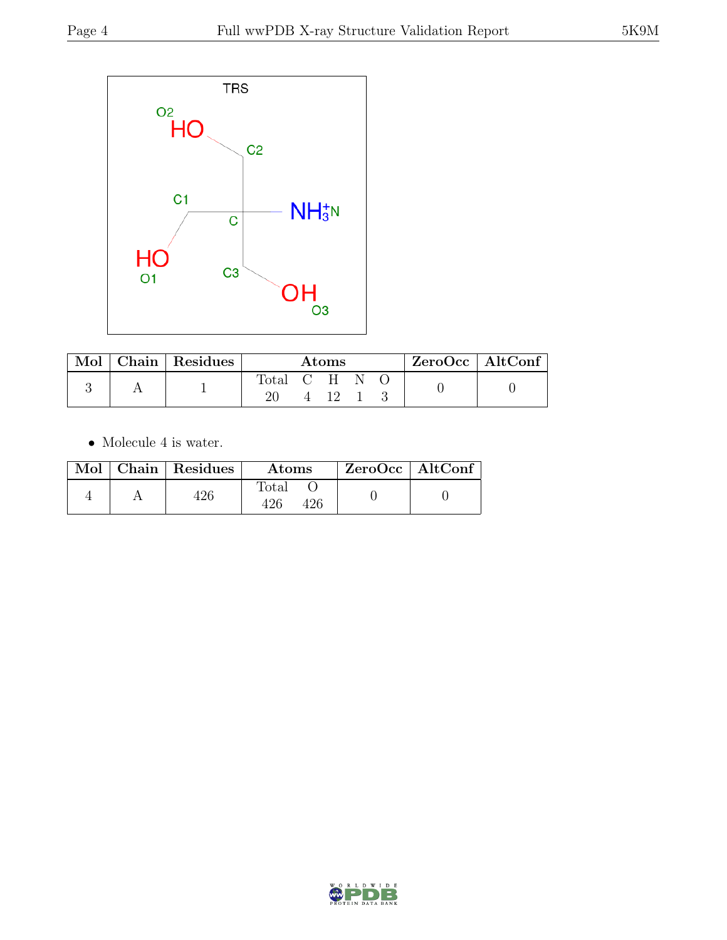

| $\mod$ $\blacksquare$ | Chain Residues | Atoms     |  |      |  | ZeroOcc   AltConf |  |  |
|-----------------------|----------------|-----------|--|------|--|-------------------|--|--|
|                       |                | Total C H |  |      |  |                   |  |  |
|                       |                |           |  | 4 12 |  |                   |  |  |

 $\bullet\,$  Molecule 4 is water.

|  | Mol   Chain   Residues | <b>Atoms</b> | $\vert$ ZeroOcc $\vert$ AltConf $\vert$ |  |
|--|------------------------|--------------|-----------------------------------------|--|
|  | 426                    | Total<br>426 |                                         |  |

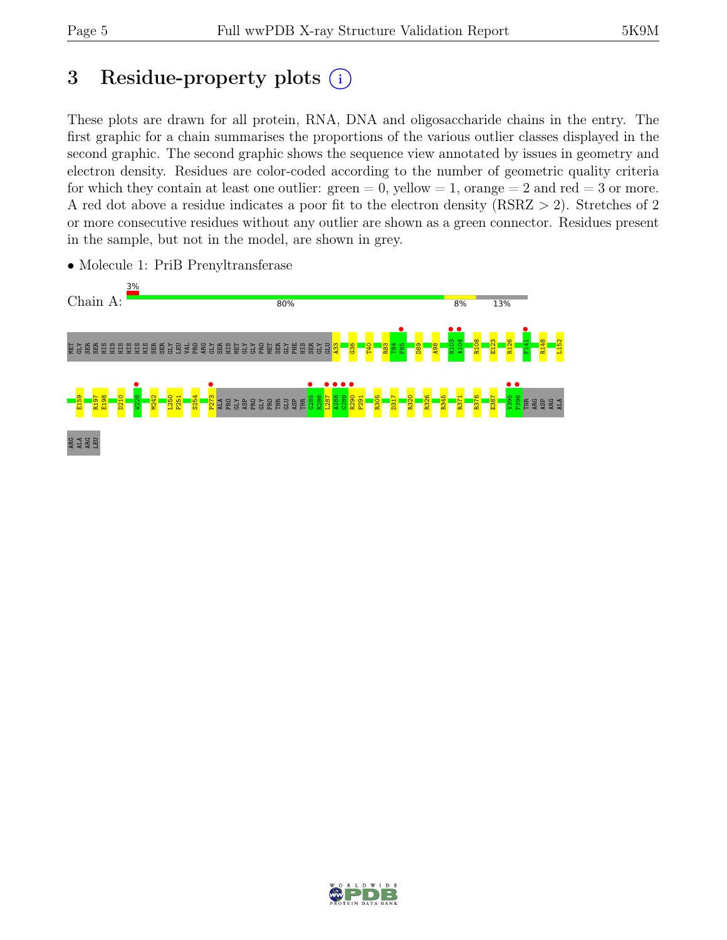## 3 Residue-property plots  $(i)$

These plots are drawn for all protein, RNA, DNA and oligosaccharide chains in the entry. The first graphic for a chain summarises the proportions of the various outlier classes displayed in the second graphic. The second graphic shows the sequence view annotated by issues in geometry and electron density. Residues are color-coded according to the number of geometric quality criteria for which they contain at least one outlier:  $green = 0$ , yellow  $= 1$ , orange  $= 2$  and red  $= 3$  or more. A red dot above a residue indicates a poor fit to the electron density (RSRZ > 2). Stretches of 2 or more consecutive residues without any outlier are shown as a green connector. Residues present in the sample, but not in the model, are shown in grey.



• Molecule 1: PriB Prenyltransferase

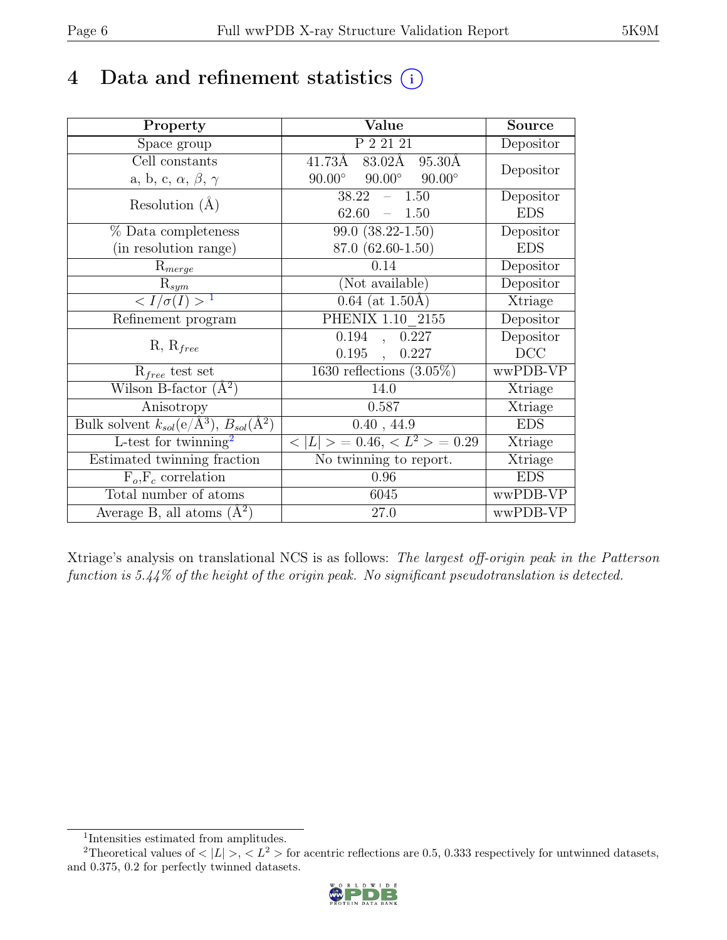## 4 Data and refinement statistics  $(i)$

| Property                                                             | Value                                           | <b>Source</b>  |
|----------------------------------------------------------------------|-------------------------------------------------|----------------|
| Space group                                                          | P 2 21 21                                       | Depositor      |
| Cell constants                                                       | $83.02\text{\AA}$<br>41.73Å<br>95.30Å           |                |
| a, b, c, $\alpha$ , $\beta$ , $\gamma$                               | $90.00^\circ$<br>$90.00^\circ$<br>$90.00^\circ$ | Depositor      |
| Resolution $(A)$                                                     | 38.22<br>1.50                                   | Depositor      |
|                                                                      | 62.60<br>1.50<br>$\equiv$                       | <b>EDS</b>     |
| % Data completeness                                                  | $99.0 (38.22 - 1.50)$                           | Depositor      |
| (in resolution range)                                                | 87.0 (62.60-1.50)                               | <b>EDS</b>     |
| $R_{merge}$                                                          | 0.14                                            | Depositor      |
| $\mathrm{R}_{sym}$                                                   | (Not available)                                 | Depositor      |
| $\langle I/\sigma(I) \rangle^{-1}$                                   | $0.64$ (at 1.50Å)                               | Xtriage        |
| Refinement program                                                   | PHENIX 1.10 2155                                | Depositor      |
|                                                                      | 0.194<br>0.227<br>$\ddot{\phantom{a}}$          | Depositor      |
| $R, R_{free}$                                                        | 0.195<br>0.227<br>$\mathcal{L}$                 | DCC            |
| $R_{free}$ test set                                                  | 1630 reflections $(3.05\%)$                     | wwPDB-VP       |
| Wilson B-factor $(A^2)$                                              | 14.0                                            | Xtriage        |
| Anisotropy                                                           | 0.587                                           | Xtriage        |
| Bulk solvent $k_{sol}(e/\mathring{A}^3)$ , $B_{sol}(\mathring{A}^2)$ | 0.40, 44.9                                      | <b>EDS</b>     |
| L-test for twinning <sup>2</sup>                                     | $< L >$ = 0.46, $< L^2 >$ = 0.29                | <b>Xtriage</b> |
| Estimated twinning fraction                                          | No twinning to report.                          | Xtriage        |
| $F_o, F_c$ correlation                                               | 0.96                                            | <b>EDS</b>     |
| Total number of atoms                                                | 6045                                            | wwPDB-VP       |
| Average B, all atoms $(A^2)$                                         | 27.0                                            | wwPDB-VP       |

Xtriage's analysis on translational NCS is as follows: The largest off-origin peak in the Patterson function is 5.44% of the height of the origin peak. No significant pseudotranslation is detected.

<sup>&</sup>lt;sup>2</sup>Theoretical values of  $\langle |L| \rangle$ ,  $\langle L^2 \rangle$  for acentric reflections are 0.5, 0.333 respectively for untwinned datasets, and 0.375, 0.2 for perfectly twinned datasets.



<span id="page-5-1"></span><span id="page-5-0"></span><sup>1</sup> Intensities estimated from amplitudes.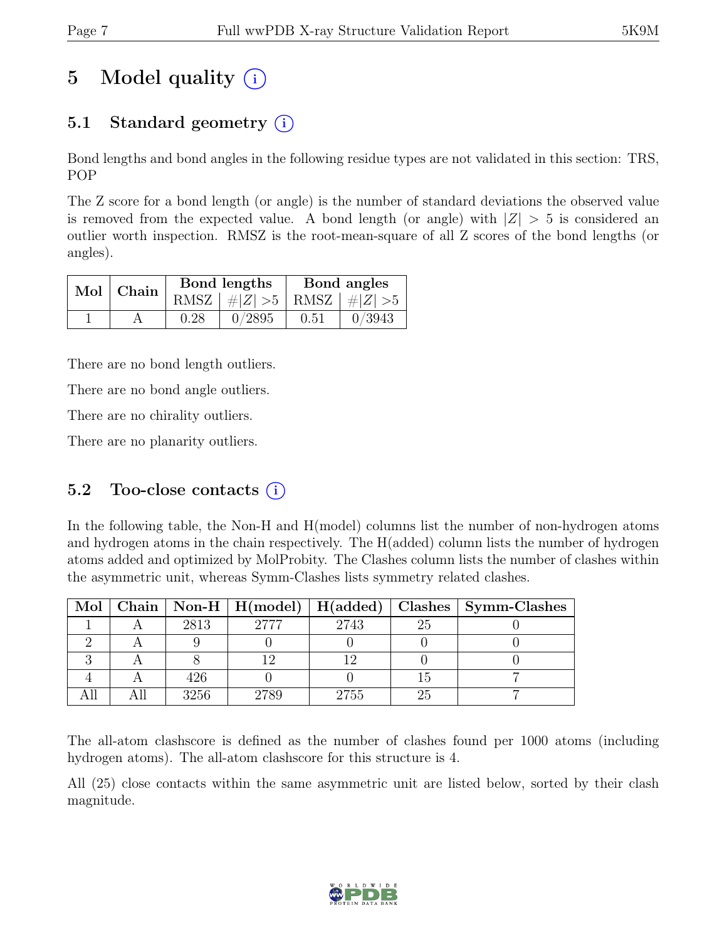## 5 Model quality  $(i)$

### 5.1 Standard geometry  $(i)$

Bond lengths and bond angles in the following residue types are not validated in this section: TRS, POP

The Z score for a bond length (or angle) is the number of standard deviations the observed value is removed from the expected value. A bond length (or angle) with  $|Z| > 5$  is considered an outlier worth inspection. RMSZ is the root-mean-square of all Z scores of the bond lengths (or angles).

| $Mol$   Chain $\overline{\phantom{a}}$ |      | Bond lengths                    | Bond angles |        |  |
|----------------------------------------|------|---------------------------------|-------------|--------|--|
|                                        |      | RMSZ $ #Z  > 5$ RMSZ $ #Z  > 5$ |             |        |  |
|                                        | 0.28 | 0/2895                          | 0.51        | 0/3943 |  |

There are no bond length outliers.

There are no bond angle outliers.

There are no chirality outliers.

There are no planarity outliers.

#### 5.2 Too-close contacts  $(i)$

In the following table, the Non-H and H(model) columns list the number of non-hydrogen atoms and hydrogen atoms in the chain respectively. The H(added) column lists the number of hydrogen atoms added and optimized by MolProbity. The Clashes column lists the number of clashes within the asymmetric unit, whereas Symm-Clashes lists symmetry related clashes.

|  |      | Mol   Chain   Non-H   H(model)   H(added) |      |    | Clashes   Symm-Clashes |
|--|------|-------------------------------------------|------|----|------------------------|
|  | 2813 | 2777                                      | 2743 | 25 |                        |
|  |      |                                           |      |    |                        |
|  |      |                                           |      |    |                        |
|  | 426  |                                           |      |    |                        |
|  | 3256 | 2789                                      | 2755 | 25 |                        |

The all-atom clashscore is defined as the number of clashes found per 1000 atoms (including hydrogen atoms). The all-atom clashscore for this structure is 4.

All (25) close contacts within the same asymmetric unit are listed below, sorted by their clash magnitude.

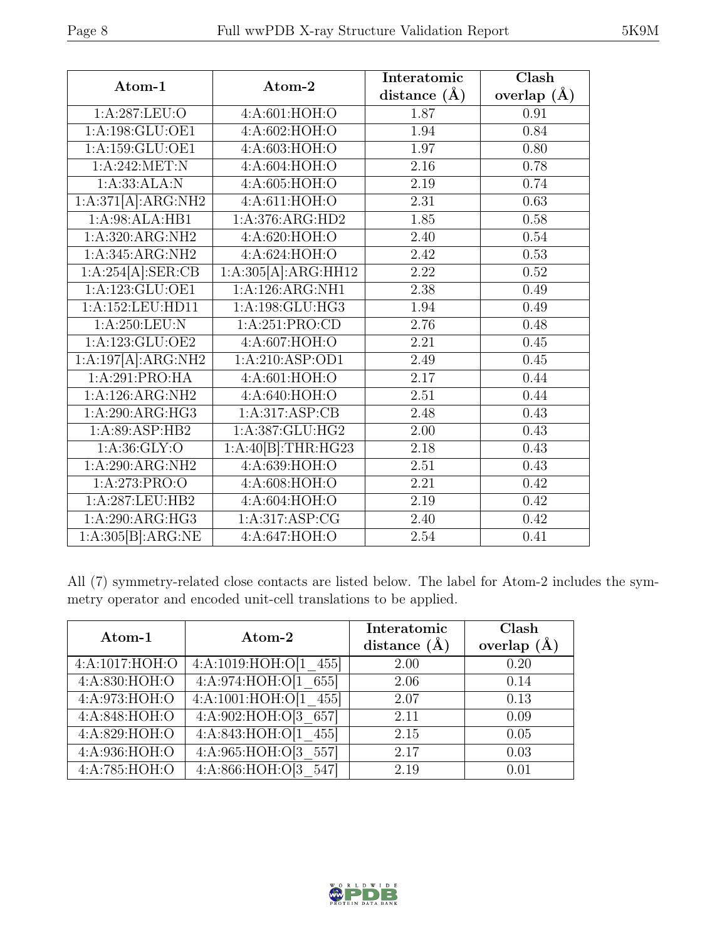| Atom-1                                | Atom-2                       | Interatomic      | Clash         |
|---------------------------------------|------------------------------|------------------|---------------|
|                                       |                              | distance $(\AA)$ | overlap $(A)$ |
| 1: A:287: LEU:O                       | 4:A:601:HOH:O                | 1.87             | 0.91          |
| 1:A:198:GLU:OE1                       | 4:A:602:HOH:O                | 1.94             | 0.84          |
| 1:A:159:GLU:OE1                       | 4:A:603:HOH:O                | 1.97             | 0.80          |
| 1:A:242:MET:N                         | 4:A:604:HOH:O                | 2.16             | 0.78          |
| 1:A:33:ALA:N                          | 4:A:605:HOH:O                | 2.19             | 0.74          |
| 1:A:371[A]:ARG:NH2                    | 4:A:611:HOH:O                | 2.31             | 0.63          |
| 1:A:98:ALA:HB1                        | 1:A:376:ARG:HD2              | 1.85             | 0.58          |
| 1: A:320:ARG:NH2                      | 4: A:620: HOH:O              | 2.40             | $0.54\,$      |
| 1:A:345:ARG:NH2                       | 4:A:624:HOH:O                | 2.42             | 0.53          |
| $1:A:\overline{254[A]:\text{SER:CB}}$ | 1:A:305[A]:ARG:HH12          | 2.22             | 0.52          |
| 1:A:123:GLU:OE1                       | 1:A:126:ARG:NH1              | 2.38             | 0.49          |
| 1:A:152:LEU:HD11                      | $1:A:198:GLU:H\overline{G3}$ | 1.94             | 0.49          |
| 1: A:250:LEU: N                       | 1:A:251:PRO:CD               | 2.76             | 0.48          |
| 1: A: 123: GLU: OE2                   | 4:A:607:HOH:O                | 2.21             | 0.45          |
| 1:A:197[A]:ARG:NH2                    | 1:A:210:ASP:OD1              | 2.49             | 0.45          |
| 1:A:291:PRO:HA                        | 4:A:601:HOH:O                | 2.17             | 0.44          |
| $1:A:126:ARG:\overline{\text{NH2}}$   | 4: A:640:HOH:O               | 2.51             | 0.44          |
| 1:A:290:ARG:HG3                       | 1:A:317:ASP:CB               | 2.48             | 0.43          |
| 1:A:89:ASP:HB2                        | 1:A:387:GLU:HG2              | 2.00             | 0.43          |
| 1: A:36: GLY:O                        | 1:A:40[B]:THR:HG23           | 2.18             | 0.43          |
| 1:A:290:ARG:NH2                       | 4: A:639:HOH:O               | 2.51             | 0.43          |
| 1:A:273:PRO:O                         | 4:A:608:HOH:O                | 2.21             | 0.42          |
| 1:A:287:LEU:HB2                       | 4:A:604:HOH:O                | 2.19             | 0.42          |
| 1:A:290:ARG:HG3                       | 1:A:317:ASP:CG               | 2.40             | 0.42          |
| 1:A:305[B]:ARG:NE                     | 4:A:647:HOH:O                | 2.54             | 0.41          |

All (7) symmetry-related close contacts are listed below. The label for Atom-2 includes the symmetry operator and encoded unit-cell translations to be applied.

| Atom-1             | Atom-2                    | Interatomic<br>distance $(A)$ | Clash<br>overlap $(\AA)$ |
|--------------------|---------------------------|-------------------------------|--------------------------|
| 4: A: 1017: HOH: O | 4:A:1019:HOH:O[1]<br>455  | 2.00                          | 0.20                     |
| 4: A:830: HOH:O    | 4: A:974: HOH:O[1]<br>655 | 2.06                          | 0.14                     |
| 4:A:973:HOH:O      | 4:A:1001:HOH:O[1]<br>455  | 2.07                          | 0.13                     |
| 4:A:848:HOH:O      | 4:A:902:HOH:O[3 657]      | 2.11                          | 0.09                     |
| 4:A:829:HOH:O      | 4: A:843:HOH:O[1]<br>455  | 2.15                          | 0.05                     |
| 4:A:936:HOH:O      | 4: A:965: HOH:O[3]<br>557 | 2.17                          | 0.03                     |
| 4:A:785:HOH:O      | 4: A:866: HOH:O[3]<br>547 | 2.19                          | 0.01                     |

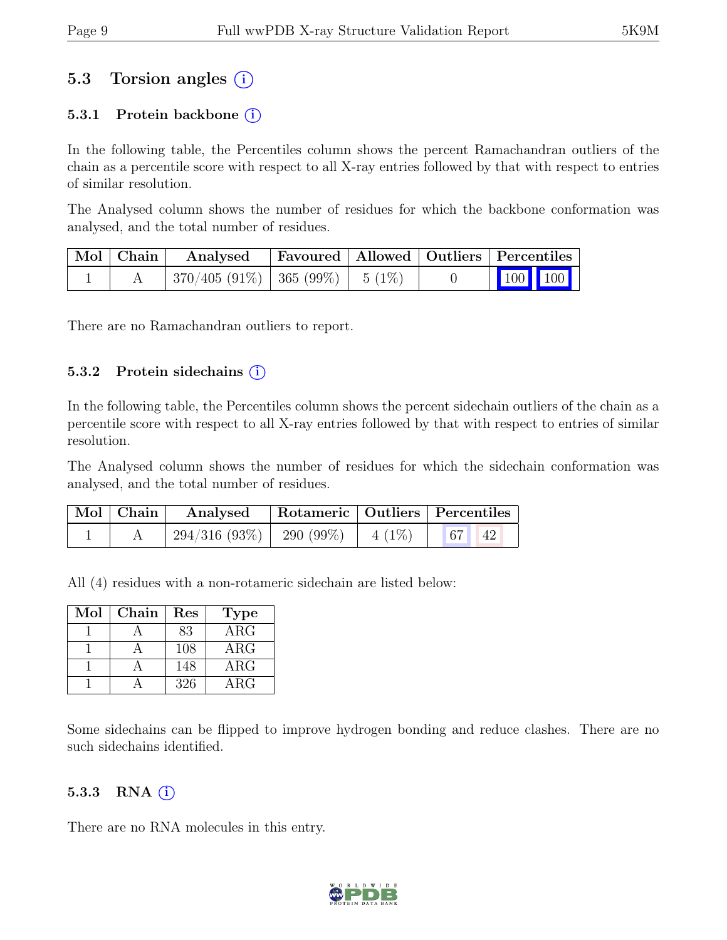#### 5.3 Torsion angles (i)

#### 5.3.1 Protein backbone  $(i)$

In the following table, the Percentiles column shows the percent Ramachandran outliers of the chain as a percentile score with respect to all X-ray entries followed by that with respect to entries of similar resolution.

The Analysed column shows the number of residues for which the backbone conformation was analysed, and the total number of residues.

| $\vert$ Mol $\vert$ Chain $\vert$ | Analysed                              |  | Favoured   Allowed   Outliers   Percentiles |  |
|-----------------------------------|---------------------------------------|--|---------------------------------------------|--|
|                                   | $370/405 (91\%)$   365 (99%)   5 (1%) |  | $\vert$ 100 100 $\vert$                     |  |

There are no Ramachandran outliers to report.

#### 5.3.2 Protein side chains  $(i)$

In the following table, the Percentiles column shows the percent sidechain outliers of the chain as a percentile score with respect to all X-ray entries followed by that with respect to entries of similar resolution.

The Analysed column shows the number of residues for which the sidechain conformation was analysed, and the total number of residues.

| $\vert$ Mol $\vert$ Chain $\vert$ | Analysed                                          |  | Rotameric   Outliers   Percentiles |  |
|-----------------------------------|---------------------------------------------------|--|------------------------------------|--|
|                                   | $294/316 (93\%)$   290 (99\%)   4 (1\%)   67   42 |  |                                    |  |

All (4) residues with a non-rotameric sidechain are listed below:

| Mol | Chain | Res | <b>Type</b> |
|-----|-------|-----|-------------|
|     |       | 83  | $\rm{ARG}$  |
|     |       | 108 | $\rm{ARG}$  |
|     |       | 148 | $\rm{ARG}$  |
|     |       | 326 | ${\rm ARG}$ |

Some sidechains can be flipped to improve hydrogen bonding and reduce clashes. There are no such sidechains identified.

#### 5.3.3 RNA  $(i)$

There are no RNA molecules in this entry.

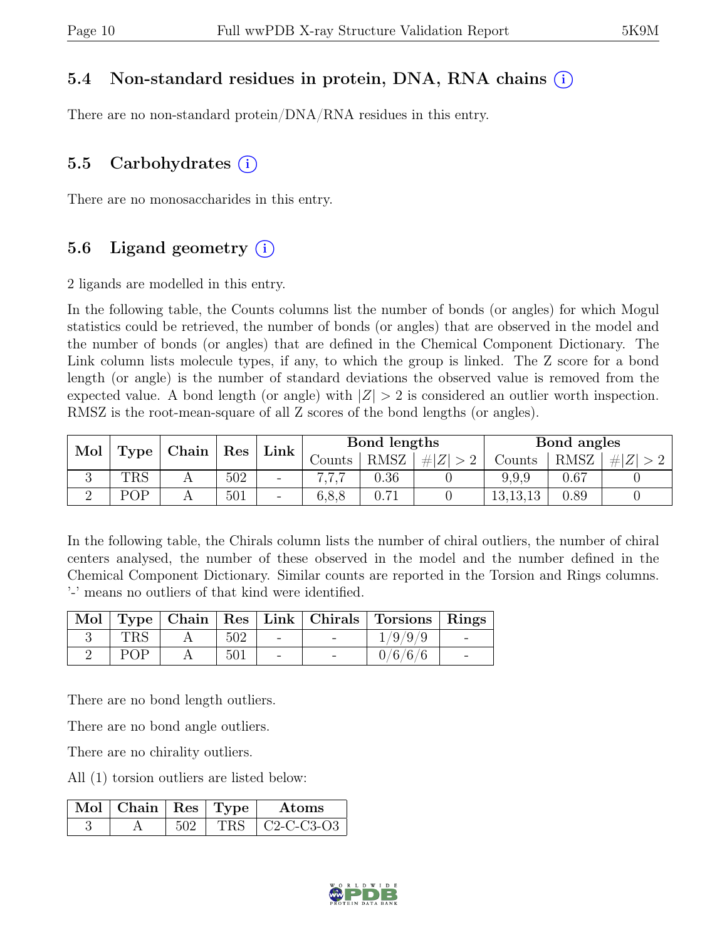#### 5.4 Non-standard residues in protein, DNA, RNA chains (i)

There are no non-standard protein/DNA/RNA residues in this entry.

#### 5.5 Carbohydrates  $(i)$

There are no monosaccharides in this entry.

#### 5.6 Ligand geometry  $(i)$

2 ligands are modelled in this entry.

In the following table, the Counts columns list the number of bonds (or angles) for which Mogul statistics could be retrieved, the number of bonds (or angles) that are observed in the model and the number of bonds (or angles) that are defined in the Chemical Component Dictionary. The Link column lists molecule types, if any, to which the group is linked. The Z score for a bond length (or angle) is the number of standard deviations the observed value is removed from the expected value. A bond length (or angle) with  $|Z| > 2$  is considered an outlier worth inspection. RMSZ is the root-mean-square of all Z scores of the bond lengths (or angles).

| Mol |             | Chain | Link |                          | Bond lengths |              |     | Bond angles |      |   |
|-----|-------------|-------|------|--------------------------|--------------|--------------|-----|-------------|------|---|
|     | <b>Type</b> |       | Res  |                          | Counts -     | <b>RMSZ</b>  | # Z | Counts      | RMSZ | Z |
| ◡   | <b>TRS</b>  | A     | 502  | $\overline{\phantom{0}}$ |              | $0.36\,$     |     | 9,9,9       | 0.67 |   |
|     | POP         |       | 501  | $\overline{\phantom{0}}$ | 6, 8, 8      | $-1$<br>0.71 |     | 13,13,13    | 0.89 |   |

In the following table, the Chirals column lists the number of chiral outliers, the number of chiral centers analysed, the number of these observed in the model and the number defined in the Chemical Component Dictionary. Similar counts are reported in the Torsion and Rings columns. '-' means no outliers of that kind were identified.

|                |     |  | Mol   Type   Chain   Res   Link   Chirals   Torsions   Rings |  |
|----------------|-----|--|--------------------------------------------------------------|--|
| $\mathrm{TRS}$ | 502 |  | 1/9/9/9                                                      |  |
| POP            | 501 |  | 0/6/6/6                                                      |  |

There are no bond length outliers.

There are no bond angle outliers.

There are no chirality outliers.

All (1) torsion outliers are listed below:

| Mol   Chain   Res   Type |  | Atoms        |
|--------------------------|--|--------------|
|                          |  | $C2-C-C3-03$ |

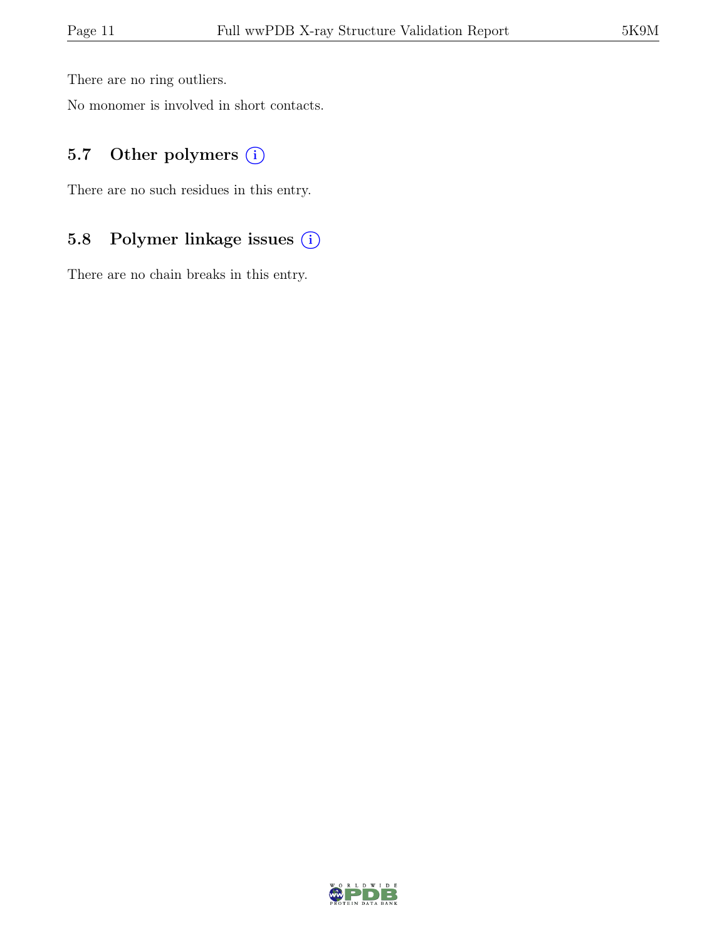There are no ring outliers.

No monomer is involved in short contacts.

#### 5.7 Other polymers (i)

There are no such residues in this entry.

### 5.8 Polymer linkage issues (i)

There are no chain breaks in this entry.

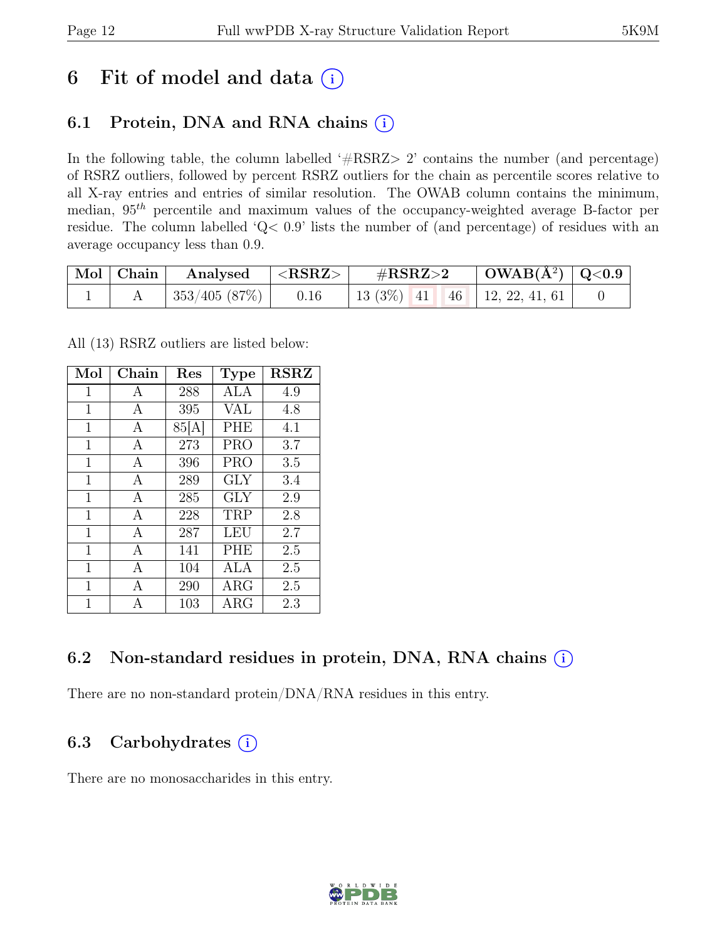## 6 Fit of model and data  $(i)$

### 6.1 Protein, DNA and RNA chains  $(i)$

In the following table, the column labelled ' $\#\text{RSRZ}>2$ ' contains the number (and percentage) of RSRZ outliers, followed by percent RSRZ outliers for the chain as percentile scores relative to all X-ray entries and entries of similar resolution. The OWAB column contains the minimum, median,  $95<sup>th</sup>$  percentile and maximum values of the occupancy-weighted average B-factor per residue. The column labelled 'Q< 0.9' lists the number of (and percentage) of residues with an average occupancy less than 0.9.

| $\mid$ Mol $\mid$ Chain | Analysed $\langle$ <rsrz></rsrz> |      | # $RSRZ>2$                          | $\mid$ OWAB(Å <sup>2</sup> ) $\mid$ Q<0.9 |  |
|-------------------------|----------------------------------|------|-------------------------------------|-------------------------------------------|--|
|                         | 353/405(87%)                     | 0.16 | 13 (3\%)   41   46   12, 22, 41, 61 |                                           |  |

All (13) RSRZ outliers are listed below:

| Mol         | Chain          | Res   | <b>Type</b> | $\operatorname{RSRZ}$ |
|-------------|----------------|-------|-------------|-----------------------|
| 1           | А              | 288   | ALA         | 4.9                   |
| $\mathbf 1$ | A              | 395   | <b>VAL</b>  | 4.8                   |
| 1           | A              | 85[A] | <b>PHE</b>  | 4.1                   |
| 1           | A              | 273   | <b>PRO</b>  | 3.7                   |
| 1           | A              | 396   | <b>PRO</b>  | 3.5                   |
| 1           | A              | 289   | <b>GLY</b>  | 3.4                   |
| 1           | $\overline{A}$ | 285   | <b>GLY</b>  | 2.9                   |
| 1           | A              | 228   | TRP         | 2.8                   |
| $\mathbf 1$ | $\mathbf{A}$   | 287   | LEU         | 2.7                   |
| $\mathbf 1$ | A              | 141   | <b>PHE</b>  | 2.5                   |
| 1           | А              | 104   | ALA         | 2.5                   |
| 1           | $\overline{A}$ | 290   | $\rm{ARG}$  | 2.5                   |
| 1           | А              | 103   | ${\rm ARG}$ | 2.3                   |

### 6.2 Non-standard residues in protein, DNA, RNA chains (i)

There are no non-standard protein/DNA/RNA residues in this entry.

### 6.3 Carbohydrates  $(i)$

There are no monosaccharides in this entry.